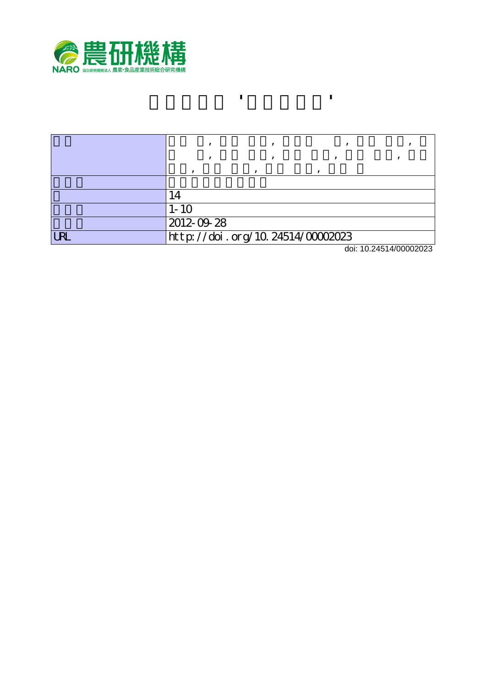

|   | $1 - 10$                         |  |                        |
|---|----------------------------------|--|------------------------|
|   | 2012-09-28                       |  |                        |
| R | http://doi.org/10.24514/00002023 |  |                        |
|   |                                  |  | 1.1.40.0454.1000000000 |

**モモ新品種 'つきあかり'**

doi: 10.24514/00002023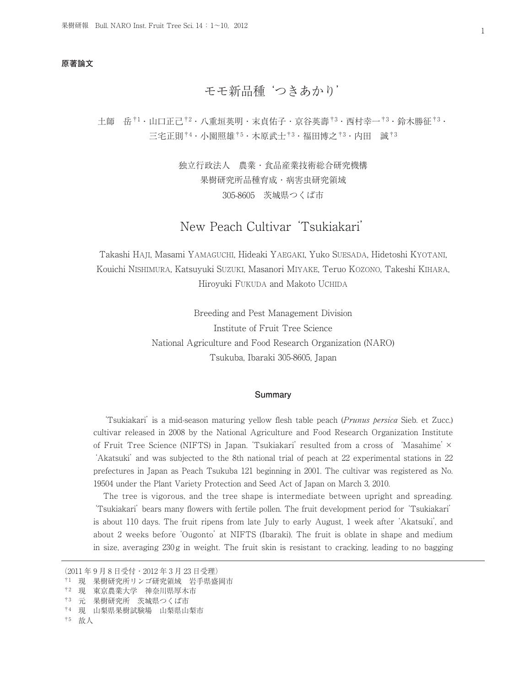## **原著論文**

# モモ新品種'つきあかり'

土師 岳†1・山口正己†2・八重垣英明・末貞佑子・京谷英壽†3・西村幸一†3・鈴木勝征†3・ 三宅正則†4・小園照雄†5・木原武士†3・福田博之†3・内田 誠†3

> 独立行政法人 農業・食品産業技術総合研究機構 果樹研究所品種育成・病害虫研究領域 305-8605 茨城県つくば市

# New Peach Cultivar'Tsukiakari'

Takashi HAJI, Masami YAMAGUCHI, Hideaki YAEGAKI, Yuko SUESADA, Hidetoshi KYOTANI, Kouichi NISHIMURA, Katsuyuki SUZUKI, Masanori MIYAKE, Teruo KOZONO, Takeshi KIHARA, Hiroyuki FUKUDA and Makoto UCHIDA

> Breeding and Pest Management Division Institute of Fruit Tree Science National Agriculture and Food Research Organization (NARO) Tsukuba, Ibaraki 305-8605, Japan

#### **Summary**

'Tsukiakari'is a mid-season maturing yellow flesh table peach (Prunus persica Sieb. et Zucc.) cultivar released in 2008 by the National Agriculture and Food Research Organization Institute of Fruit Tree Science (NIFTS) in Japan.'Tsukiakari'resulted from a cross of 'Masahime'× 'Akatsuki'and was subjected to the 8th national trial of peach at 22 experimental stations in 22 prefectures in Japan as Peach Tsukuba 121 beginning in 2001. The cultivar was registered as No. 19504 under the Plant Variety Protection and Seed Act of Japan on March 3, 2010.

The tree is vigorous, and the tree shape is intermediate between upright and spreading. 'Tsukiakari'bears many flowers with fertile pollen. The fruit development period for'Tsukiakari' is about 110 days. The fruit ripens from late July to early August, 1 week after'Akatsuki', and about 2 weeks before'Ougonto'at NIFTS (Ibaraki). The fruit is oblate in shape and medium in size, averaging 230g in weight. The fruit skin is resistant to cracking, leading to no bagging

<sup>(2011</sup> 年 9 月 8 日受付・2012 年 3 月 23 日受理)

<sup>†1</sup> 現 果樹研究所リンゴ研究領域 岩手県盛岡市

<sup>†2</sup> 現 東京農業大学 神奈川県厚木市

<sup>†3</sup> 元 果樹研究所 茨城県つくば市

<sup>†4</sup> 現 山梨県果樹試験場 山梨県山梨市

<sup>†5</sup> 故人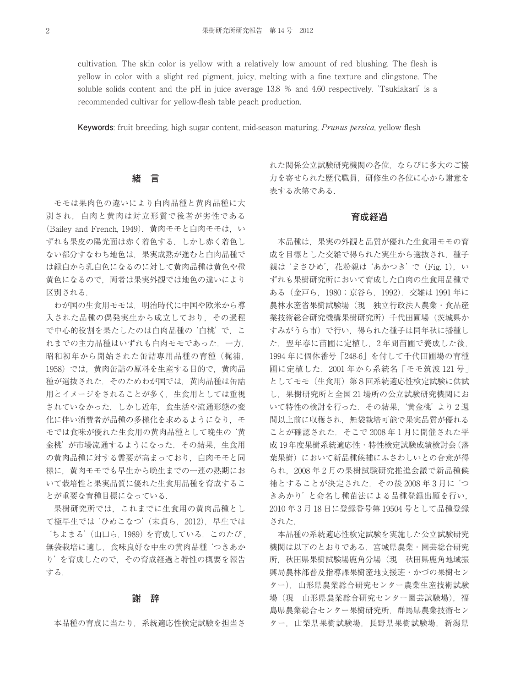cultivation. The skin color is yellow with a relatively low amount of red blushing. The flesh is yellow in color with a slight red pigment, juicy, melting with a fine texture and clingstone. The soluble solids content and the pH in juice average 13.8 % and 4.60 respectively. 'Tsukiakari' is a recommended cultivar for yellow-flesh table peach production.

**Keywords**: fruit breeding, high sugar content, mid-season maturing, Prunus persica, yellow flesh

## **緒 言**

モモは果肉色の違いにより白肉品種と黄肉品種に大 別され,白肉と黄肉は対立形質で後者が劣性である (Bailey and French, 1949).黄肉モモと白肉モモは,い ずれも果皮の陽光面は赤く着色する.しかし赤く着色し ない部分すなわち地色は,果実成熟が進むと白肉品種で は緑白から乳白色になるのに対して黄肉品種は黄色や橙 黄色になるので,両者は果実外観では地色の違いにより 区別される.

わが国の生食用モモは,明治時代に中国や欧米から導 入された品種の偶発実生から成立しており,その過程 で中心的役割を果たしたのは白肉品種の'白桃'で,こ れまでの主力品種はいずれも白肉モモであった.一方, 昭和初年から開始された缶詰専用品種の育種 (梶浦, 1958)では,黄肉缶詰の原料を生産する目的で,黄肉品 種が選抜された.そのためわが国では,黄肉品種は缶詰 用とイメージをされることが多く,生食用としては重視 されていなかった.しかし近年,食生活や流通形態の変 化に伴い消費者が品種の多様化を求めるようになり、モ モでは食味が優れた生食用の黄肉品種として晩生の'黄 金桃'が市場流通するようになった.その結果,生食用 の黄肉品種に対する需要が高まっており,白肉モモと同 様に、黄肉モモでも早生から晩生までの一連の熟期にお いて栽培性と果実品質に優れた生食用品種を育成するこ とが重要な育種目標になっている.

果樹研究所では,これまでに生食用の黄肉品種とし て極早生では'ひめこなつ'(末貞ら,2012),早生では 'ちよまる'(山口ら,1989)を育成している.このたび , 無袋栽培に適し,食味良好な中生の黄肉品種'つきあか り'を育成したので,その育成経過と特性の概要を報告 する.

## **謝 辞**

本品種の育成に当たり,系統適応性検定試験を担当さ

れた関係公立試験研究機関の各位,ならびに多大のご協 力を寄せられた歴代職員,研修生の各位に心から謝意を 表する次第である.

## **育成経過**

本品種は,果実の外観と品質が優れた生食用モモの育 成を目標とした交雑で得られた実生から選抜され,種子 親は'まさひめ', 花粉親は'あかつき'で (Fig. 1), い ずれも果樹研究所において育成した白肉の生食用品種で ある(金戸ら,1980;京谷ら,1992).交雑は 1991 年に 農林水産省果樹試験場(現 独立行政法人農業・食品産 業技術総合研究機構果樹研究所)千代田圃場(茨城県か すみがうら市)で行い,得られた種子は同年秋に播種し た. 翌年春に苗圃に定植し、2年間苗圃で養成した後, 1994 年に個体番号 「248-6」 を付して千代田圃場の育種 圃に定植した.2001 年から系統名 「モモ筑波 121 号」 としてモモ(生食用)第8回系統適応性検定試験に供試 し,果樹研究所と全国 21 場所の公立試験研究機関にお いて特性の検討を行った.その結果,'黄金桃'より 2 週 間以上前に収穫され,無袋栽培可能で果実品質が優れる ことが確認された.そこで 2008 年 1 月に開催された平 成 19年度果樹系統適応性・特性検定試験成績検討会(落 葉果樹)において新品種候補にふさわしいとの合意が得 られ,2008 年 2 月の果樹試験研究推進会議で新品種候 補とすることが決定された.その後 2008 年 3 月に'つ きあかり'と命名し種苗法による品種登録出願を行い, 2010 年 3 月 18 日に登録番号第 19504 号として品種登録 された.

本品種の系統適応性検定試験を実施した公立試験研究 機関は以下のとおりである.宮城県農業・園芸総合研究 所,秋田県果樹試験場鹿角分場(現 秋田県鹿角地域振 興局農林部普及指導課果樹産地支援班・かづの果樹セン ター),山形県農業総合研究センター農業生産技術試験 場(現 山形県農業総合研究センター園芸試験場). 福 島県農業総合センター果樹研究所,群馬県農業技術セン ター,山梨県果樹試験場,長野県果樹試験場,新潟県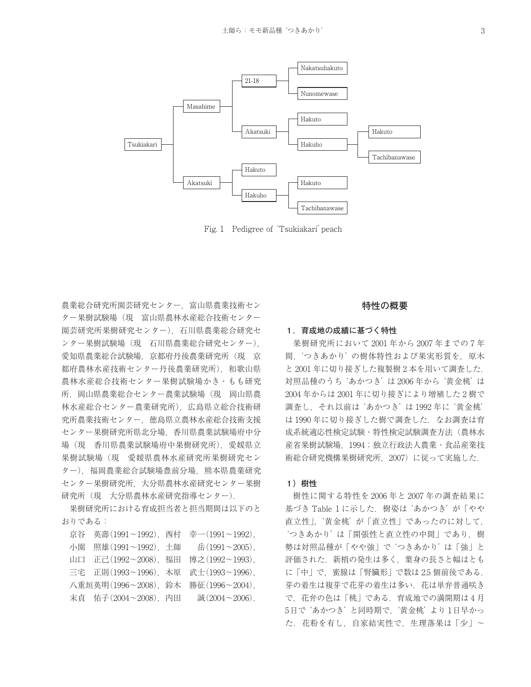

Fig. 1 Pedigree of'Tsukiakari'peach

農業総合研究所園芸研究センター,富山県農業技術セン ター果樹試験場(現 富山県農林水産総合技術センター 園芸研究所果樹研究センター),石川県農業総合研究セ ンター果樹試験場(現 石川県農業総合研究センター), 愛知県農業総合試験場, 京都府丹後農業研究所(現 京 都府農林水産技術センター丹後農業研究所),和歌山県 農林水産総合技術センター果樹試験場かき・もも研究 所,岡山県農業総合センター農業試験場(現 岡山県農 林水産総合センター農業研究所),広島県立総合技術研 究所農業技術センター,徳島県立農林水産総合技術支援 センター果樹研究所県北分場,香川県農業試験場府中分 場(現 香川県農業試験場府中果樹研究所),愛媛県立 果樹試験場(現 愛媛県農林水産研究所果樹研究セン ター),福岡農業総合試験場豊前分場,熊本県農業研究 センター果樹研究所,大分県農林水産研究センター果樹 研究所(現 大分県農林水産研究指導センター).

果樹研究所における育成担当者と担当期間は以下のと おりである:

京谷 英壽(1991〜1992),西村 幸一(1991〜1992), 小園 照雄(1991〜1992),土師 岳(1991〜2005), 山口 正己(1992〜2008),福田 博之(1992〜1993), 三宅 正則(1993〜1996),木原 武士(1993〜1996), 八重垣英明(1996〜2008),鈴木 勝征(1996〜2004), 末貞 佑子(2004〜2008),内田 誠(2004〜2006).

## **特性の概要**

#### **1.育成地の成績に基づく特性**

果樹研究所において 2001 年から 2007 年までの 7 年 間,'つきあかり'の樹体特性および果実形質を,原木 と 2001 年に切り接ぎした複製樹 2 本を用いて調査した. 対照品種のうち'あかつき'は 2006 年から'黄金桃'は 2004 年からは 2001 年に切り接ぎにより増殖した 2 樹で 調査し,それ以前は'あかつき'は 1992 年に'黄金桃' は1990年に切り接ぎした樹で調査した. なお調査は育 成系統適応性検定試験、特性検定試験調査方法(農林水 産省果樹試験場,1994;独立行政法人農業・食品産業技 術総合研究機構果樹研究所,2007)に従って実施した.

#### **1)樹性**

樹性に関する特性を 2006 年と 2007 年の調査結果に 基づき Table 1 に示した. 樹姿は'あかつき'が「やや 直立性」,'黄金桃'が「直立性」であったのに対して, 'つきあかり'は「開張性と直立性の中間」であり,樹 勢は対照品種が「やや強」で'つきあかり'は「強」と 評価された.新梢の発生は多く,葉身の長さと幅はとも に「中」で,蜜腺は「腎臓形」で数は 2.5 個前後である. 芽の着生は複芽で花芽の着生は多い. 花は単弁普通咲き で,花弁の色は「桃」である.育成地での満開期は 4 月 5日で'あかつき'と同時期で,'黄金桃'より 1日早かっ た. 花粉を有し、自家結実性で、生理落果は「少」〜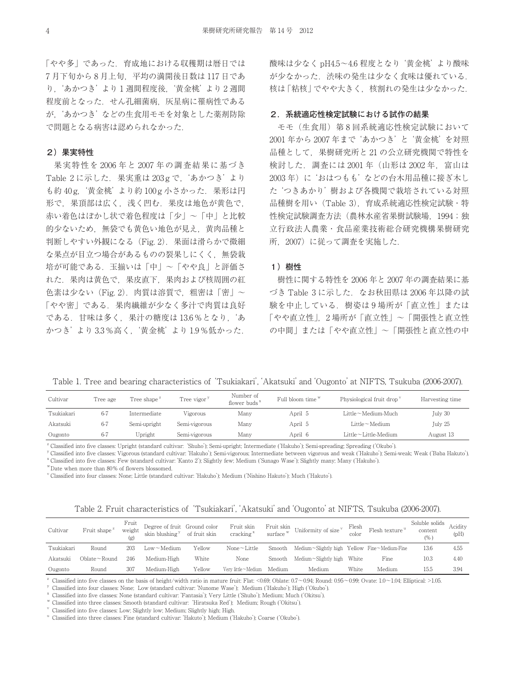「やや多」であった.育成地における収穫期は暦日では 7 月下旬から 8 月上旬,平均の満開後日数は 117 日であ り,'あかつき'より 1 週間程度後,'黄金桃'より 2 週間 程度前となった.せん孔細菌病,灰星病に罹病性である が,'あかつき'などの生食用モモを対象とした薬剤防除 で問題となる病害は認められなかった.

## **2)果実特性**

果実特性を 2006 年と 2007 年の調査結果に基づき Table 2 に示した. 果実重は 203g で. 'あかつき' より も約 40g, '黄金桃'より約 100g 小さかった. 果形は円 形で,果頂部は広く,浅く凹む.果皮は地色が黄色で, 赤い着色はぼかし状で着色程度は「少」〜「中」と比較 的少ないため,無袋でも黄色い地色が見え,黄肉品種と 判断しやすい外観になる (Fig. 2). 果面は滑らかで微細 な果点が目立つ場合があるものの裂果しにくく,無袋栽 培が可能である.玉揃いは「中」〜「やや良」と評価さ れた.果肉は黄色で,果皮直下,果肉および核周囲の紅 色素は少ない(Fig. 2).肉質は溶質で,粗密は「密」〜 「やや密」である.果肉繊維が少なく多汁で肉質は良好 である.甘味は多く,果汁の糖度は 13.6%となり,'あ かつき'より 3.3%高く,'黄金桃'より 1.9%低かった.

酸味は少なく pH4.5〜4.6 程度となり'黄金桃'より酸味 が少なかった. 渋味の発生は少なく食味は優れている. 核は「粘核」でやや大きく、核割れの発生は少なかった.

## **2.系統適応性検定試験における試作の結果**

モモ(生食用)第 8 回系統適応性検定試験において 2001 年から 2007 年まで'あかつき'と'黄金桃'を対照 品種として,果樹研究所と 21 の公立研究機関で特性を 検討した.調査には 2001 年(山形は 2002 年,富山は 2003年)に'おはつもも'などの台木用品種に接ぎ木し た'つきあかり'樹および各機関で栽培されている対照 品種樹を用い(Table 3),育成系統適応性検定試験・特 性検定試験調査方法(農林水産省果樹試験場, 1994;独 立行政法人農業・食品産業技術総合研究機構果樹研究 所,2007)に従って調査を実施した.

## **1)樹性**

樹性に関する特性を 2006 年と 2007 年の調査結果に基  $\check{\triangleleft}$  3 に示した. なお秋田県は 2006年以降の試 験を中止している. 樹姿は9場所が「直立性」または 「やや直立性」,2 場所が「直立性」〜「開張性と直立性 の中間」または「やや直立性」〜「開張性と直立性の中

Table 1. Tree and bearing characteristics of'Tsukiakari','Akatsuki'and'Ougonto'at NIFTS, Tsukuba (2006-2007).

| Cultivar   | Tree age | Tree shape $^{\rm z}$ | Number of<br>Full bloom time W<br>Tree vigor <sup>y</sup><br>flower buds $x$ |      | Physiological fruit drop v | Harvesting time          |           |
|------------|----------|-----------------------|------------------------------------------------------------------------------|------|----------------------------|--------------------------|-----------|
| Tsukiakari | $6-7$    | Intermediate          | Vigorous                                                                     | Many | April 5                    | Little∼Medium-Much       | July 30   |
| Akatsuki   | $6 - 7$  | Semi-upright          | Semi-vigorous                                                                | Many | April 5                    | Little∼Medium            | July 25   |
| Ougonto    | $6-7$    | Upright               | Semi-vigorous                                                                | Many | April 6                    | $Little~$ -Little-Medium | August 13 |

<sup>z</sup> Classified into five classes: Upright (standard cultivar: 'Shuho'); Semi-upright; Intermediate ('Hakuho'); Semi-spreading; Spreading ('Okubo').

y Classified into five classes: Vigorous (standard cultivar: `Hakuho'); Semi-vigorous; Intermediate between vigorous and weak (`Hakuho'); Semi-weak; Weak (`Baba Hakuto'). <sup>x</sup> Classified into five classes: Few (standard cultivar:'Kanto 2'); Slightly few; Medium ('Sunago Wase'); Slightly many; Many ('Hakuho').

wDate when more than 80% of flowers blossomed.

<sup>v</sup> Classified into four classes: None; Little (standard cultivar:'Hakuho'); Medium ('Nishino Hakuto'); Much ('Hakuto').

| Table 2. Fruit characteristics of 'Tsukiakari', 'Akatsuki' and 'Ougonto' at NIFTS, Tsukuba (2006-2007). |  |  |  |  |  |  |
|---------------------------------------------------------------------------------------------------------|--|--|--|--|--|--|
|---------------------------------------------------------------------------------------------------------|--|--|--|--|--|--|

| Cultivar   | Fruit shape <sup>2</sup> | Fruit<br>weight | Degree of fruit Ground color<br>skin blushing <sup>y</sup> | of fruit skin | Fruit skin<br>cracking <sup>x</sup> | Fruit skin<br>surface W | Uniformity of size <sup>v</sup>              | Flesh<br>color | Flesh texture <sup>u</sup> | Soluble solids<br>content<br>(% ) | Acidity<br>(pH) |
|------------|--------------------------|-----------------|------------------------------------------------------------|---------------|-------------------------------------|-------------------------|----------------------------------------------|----------------|----------------------------|-----------------------------------|-----------------|
| Tsukiakari | Round                    | 203             | Low∼Medium                                                 | Yellow        | $None \sim Little$                  | Smooth                  | Medium~Slightly high Yellow Fine~Medium-Fine |                |                            | 13.6                              | 4.55            |
| Akatsuki   | Oblate $\sim$ Round      | 246             | Medium-High                                                | White         | None                                | Smooth                  | Medium $\sim$ Slightly high White            |                | Fine                       | 10.3                              | 4.40            |
| Ougonto    | Round                    | 307             | Medium-High                                                | Yellow        | Very little~Medium Medium           |                         | Medium                                       | White          | Medium                     | 15.5                              | 3.94            |

<sup>z</sup> Classified into five classes on the basis of height/width ratio in mature fruit: Flat: <0.69; Oblate: 0.7~0.94; Round: 0.95~0.99; Ovate: 1.0~1.04; Elliptical: >1.05.

<sup>y</sup> Classified into four classes: None; Low (standard cultivar:'Nunome Wase'); Medium ('Hakuho'); High ('Okubo').

<sup>x</sup> Classified into five classes: None (standard cultivar:'Fantasia'); Very Little ('Shuho'); Medium; Much ('Okitsu').

<sup>w</sup> Classified into three classes: Smooth (standard cultivar: 'Hiratsuka Red'); Medium; Rough ('Okitsu').

Classified into five classes: Low; Slightly low; Medium; Slightly high; High.

<sup>u</sup> Classified into three classes: Fine (standard cultivar:'Hakuto'); Medium ('Hakuho'); Coarse ('Okubo').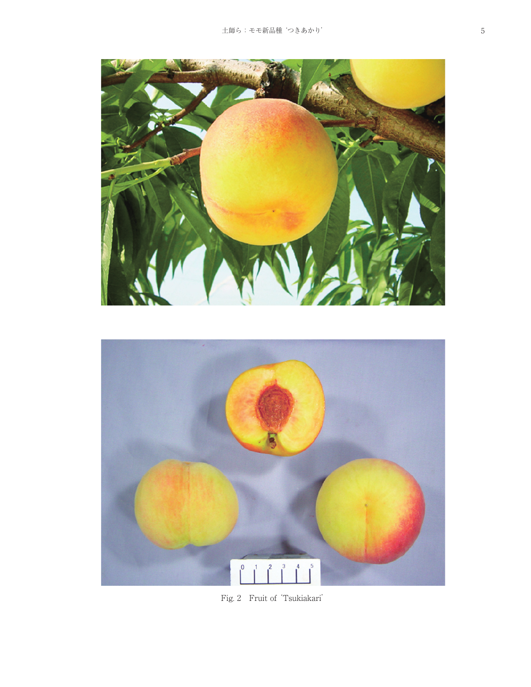



Fig. 2 Fruit of'Tsukiakari'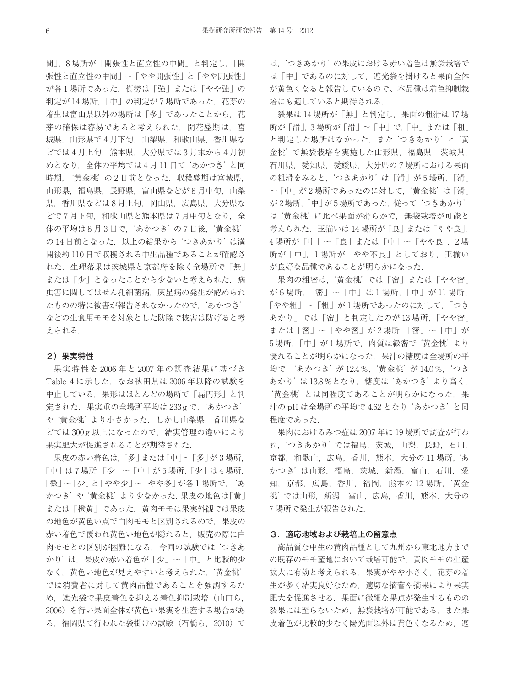間」,8 場所が「開張性と直立性の中間」と判定し,「開 張性と直立性の中間」〜「やや開張性」と「やや開張性」 が各1場所であった. 樹勢は「強」または「やや強」の 判定が14場所,「中」の判定が7場所であった. 花芽の 着生は富山県以外の場所は「多」であったことから、花 芽の確保は容易であると考えられた. 開花盛期は、宮 城県,山形県で 4 月下旬,山梨県,和歌山県,香川県な どでは 4 月上旬,熊本県,大分県では 3 月末から 4 月初 めとなり,全体の平均では 4 月 11 日で'あかつき'と同 時期, '黄金桃'の2日前となった. 収穫盛期は宮城県, 山形県,福島県,長野県,富山県などが8月中旬,山梨 県, 香川県などは8月上旬, 岡山県, 広島県, 大分県な どで7月下旬,和歌山県と熊本県は7月中旬となり、全 体の平均は8月3日で、'あかつき'の7日後、'黄金桃' の14日前となった. 以上の結果から つきあかり' は満 開後約 110 日で収穫される中生品種であることが確認さ れた.生理落果は茨城県と京都府を除く全場所で「無」 または「少」となったことから少ないと考えられた. 病 虫害に関してはせん孔細菌病,灰星病の発生が認められ たものの特に被害が報告されなかったので,'あかつき' などの生食用モモを対象とした防除で被害は防げると考 えられる.

### **2)果実特性**

果実特性を 2006 年と 2007 年の調査結果に基づき Table 4 に示した. なお秋田県は 2006 年以降の試験を 中止している.果形はほとんどの場所で「扁円形」と判 定された.果実重の全場所平均は 233g で,'あかつき' や'黄金桃'より小さかった.しかし山梨県,香川県な どでは 300g 以上になったので,結実管理の違いにより 果実肥大が促進されることが期待された.

果皮の赤い着色は,「多」または「中」〜「多」が 3 場所, 「中」は 7 場所,「少」〜「中」が 5 場所,「少」は 4 場所, 「微」〜「少」と「やや少」〜「やや多」が各 1 場所で, 'あ かつき'や'黄金桃'より少なかった. 果皮の地色は「黄」 または「橙黄」であった.黄肉モモは果実外観では果皮 の地色が黄色い点で白肉モモと区別されるので,果皮の 赤い着色で覆われ黄色い地色が隠れると,販売の際に白 肉モモとの区別が困難になる.今回の試験では'つきあ かり'は,果皮の赤い着色が「少」〜「中」と比較的少 なく,黄色い地色が見えやすいと考えられた.'黄金桃' では消費者に対して黄肉品種であることを強調するた め, 遮光袋で果皮着色を抑える着色抑制栽培(山口ら, 2006)を行い果面全体が黄色い果実を生産する場合があ る.福岡県で行われた袋掛けの試験(石橋ら,2010)で は,'つきあかり'の果皮における赤い着色は無袋栽培で は「中」であるのに対して,遮光袋を掛けると果面全体 が黄色くなると報告しているので、本品種は着色抑制栽 培にも適していると期待される.

裂果は 14 場所が「無」と判定し,果面の粗滑は 17 場 所が「滑」,3 場所が「滑」〜「中」で,「中」または「粗」 と判定した場所はなかった.また'つきあかり'と'黄 金桃'で無袋栽培を実施した山形県,福島県,茨城県, 石川県,愛知県,愛媛県,大分県の 7 場所における果面 の粗滑をみると,'つきあかり'は「滑」が 5 場所,「滑」 〜「中」が 2 場所であったのに対して,'黄金桃'は「滑」 が 2 場所, 「中」が 5 場所であった. 従って'つきあかり' は'黄金桃'に比べ果面が滑らかで,無袋栽培が可能と 考えられた.玉揃いは 14 場所が「良」または「やや良」, 4場所が「中」〜「良」または「中」〜「やや良」, 2場 所が「中」, 1場所が「やや不良」としており, 玉揃い が良好な品種であることが明らかになった.

果肉の粗密は,'黄金桃'では「密」または「やや密」 が6場所,「密」〜「中」は1場所,「中」が 11 場所, 「やや粗」〜「粗」が1場所であったのに対して,「つき あかり」では「密」と判定したのが 13 場所,「やや密」 または「密」〜「やや密」が2場所,「密」〜「中」が 5場所,「中」が1場所で、肉質は緻密で'黄金桃'より 優れることが明らかになった.果汁の糖度は全場所の平 均で,'あかつき'が 12.4%,'黄金桃'が 14.0%,'つき あかり'は 13.8%となり,糖度は'あかつき'より高く, '黄金桃'とは同程度であることが明らかになった.果 汁の pH は全場所の平均で 4.62 となり'あかつき'と同 程度であった.

果肉におけるみつ症は 2007 年に 19 場所で調査が行わ れ,'つきあかり'では福島,茨城,山梨,長野,石川, 京都,和歌山,広島,香川,熊本,大分の11場所,あ かつき'は山形,福島,茨城,新潟,富山,石川,愛 知, 京都, 広島, 香川, 福岡, 熊本の12場所, '黄金 桃'では山形,新潟,富山,広島,香川,熊本,大分の 7 場所で発生が報告された.

## **3.適応地域および栽培上の留意点**

高品質な中生の黄肉品種として九州から東北地方まで の既存のモモ産地において栽培可能で,黄肉モモの生産 拡大に有効と考えられる.果実がやや小さく,花芽の着 生が多く結実良好なため,適切な摘蕾や摘果により果実 肥大を促進させる.果面に微細な果点が発生するものの 裂果には至らないため、無袋栽培が可能である. また果 皮着色が比較的少なく陽光面以外は黄色くなるため、遮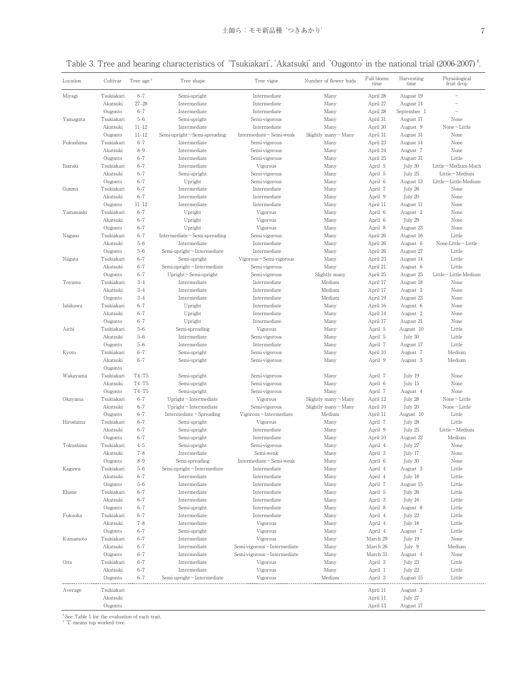## Table 3. Tree and bearing characteristics of 'Tsukiakari', 'Akatsuki' and 'Ougonto' in the national trial (2006-2007)<sup>2</sup>.

| Location  | Cultivar   | Tree age <sup>y</sup> | Tree shape                         | Tree vigor                 | Number of flower buds     | Full bloom<br>time | Harvesting<br>time | Physiological<br>fruit drop |
|-----------|------------|-----------------------|------------------------------------|----------------------------|---------------------------|--------------------|--------------------|-----------------------------|
| Miyagi    | Tsukiakari | $6 - 7$               | Semi-upright                       | Intermediate               | Many                      | April 28           | August 19          |                             |
|           | Akatsuki   | $27 - 28$             | Intermediate                       | Intermediate               | Many                      | April 27           | August 14          |                             |
|           | Ougonto    | $6 - 7$               | Intermediate                       | Intermediate               | Many                      | April 28           | September 1        |                             |
| Yamagata  | Tsukiakari | $5 - 6$               | Semi-upright                       | Semi-vigorous              | Many                      | April 31           | August 17          | None                        |
|           | Akatsuki   | $11 - 12$             | Intermediate                       | Intermediate               | Many                      | April 30           | August 9           | $None \sim Little$          |
|           | Ougonto    | $11 - 12$             | Semi-upright~Semi-spreading        | Intermediate~Semi-weak     | Slightly many $\sim$ Many | April 31           | August 31          | None                        |
| Fukushima | Tsukiakari | $6 - 7$               | Intermediate                       | Semi-vigorous              | Many                      | April 23           | August 14          | None                        |
|           | Akatsuki   | $8 - 9$               | Intermediate                       | Semi-vigorous              | Many                      | April 24           | August 7           | None                        |
|           | Ougonto    | $6 - 7$               | Intermediate                       | Semi-vigorous              | Many                      | April 25           | August 31          | Little                      |
| Ibaraki   | Tsukiakari | $6 - 7$               | Intermediate                       | Vigorous                   | Many                      | April 5            | July 30            | Little~Medium-Much          |
|           | Akatsuki   | $6 - 7$               | Semi-upright                       | Semi-vigorous              | Many                      | April 5            | July 25            | $Little-Medium$             |
|           | Ougonto    | $6 - 7$               | Upright                            | Semi-vigorous              | Many                      | April 6            | August 13          | Little~Little-Medium        |
| Gunma     | Tsukiakari | $6 - 7$               | Intermediate                       | Intermediate               | Many                      | April 7            | July 26            | None                        |
|           | Akatsuki   | $6 - 7$               | Intermediate                       | Intermediate               | Many                      | April 9            | July 20            | None                        |
|           | Ougonto    | $11 - 12$             | Intermediate                       | Intermediate               | Many                      | April 11           | August 11          | None                        |
| Yamanashi | Tsukiakari | $6 - 7$               | Upright                            | Vigorous                   | Many                      | April 6            | August 2           | None                        |
|           | Akatsuki   | $6 - 7$               | Upright                            | Vigorous                   | Many                      | April 6            | July 29            | None                        |
|           | Ougonto    | $6 - 7$               | Upright                            | Vigorous                   | Many                      | April 8            | August 23          | None                        |
| Nagano    | Tsukiakari | $6 - 7$               | Intermediate $\sim$ Semi-spreading | Semi-vigorous              | Many                      | April 26           | August 16          | Little                      |
|           | Akatsuki   | $5 - 6$               | Intermediate                       | Intermediate               | Many                      | April 26           | August 6           | None-Little $\sim$ Little   |
|           | Ougonto    | $5 - 6$               | Semi-upright~Intermediate          | Intermediate               | Many                      | April 26           | August 27          | Little                      |
| Niigata   | Tsukiakari | $6 - 7$               | Semi-upright                       | Vigorous~Semi-vigorous     | Many                      | April 23           | August 14          | Little                      |
|           | Akatsuki   | $6 - 7$               | Semi-upright~Intermediate          | Semi-vigorous              | Many                      | April 21           | August 6           | Little                      |
|           | Ougonto    | $6 - 7$               | Upright~Semi-upright               | Semi-vigorous              | Slightly many             | April 25           | August 25          | Little~Little-Medium        |
| Toyama    | Tsukiakari | $3 - 4$               | Intermediate                       | Intermediate               | Medium                    | April 17           | August 18          | None                        |
|           | Akatsuki   | $3 - 4$               | Intermediate                       | Intermediate               | Medium                    | April 17           | August 3           | None                        |
|           | Ougonto    | $3 - 4$               | Intermediate                       | Intermediate               | Medium                    | April 19           | August 23          | None                        |
| Ishikawa  | Tsukiakari | $6 - 7$               | Upright                            | Intermediate               | Many                      | April 16           | August 6           | None                        |
|           | Akatsuki   | $6 - 7$               | Upright                            | Intermediate               | Many                      | April 14           | August 2           | None                        |
|           | Ougonto    | $6 - 7$               | Upright                            | Intermediate               | Many                      | April 17           | August 21          | None                        |
| Aichi     | Tsukiakari | $5 - 6$               | Semi-spreading                     | Vigorous                   | Many                      | April 5            | August 10          | Little                      |
|           | Akatsuki   | $5 - 6$               | Intermediate                       | Semi-vigorous              | Many                      | April 5            | July 30            | Little                      |
|           | Ougonto    | $5 - 6$               | Intermediate                       | Intermediate               | Many                      | April 7            | August 17          | Little                      |
| Kyoto     | Tsukiakari | $6 - 7$               | Semi-upright                       | Semi-vigorous              | Many                      | April 10           | August 7           | Medium                      |
|           | Akatsuki   | $6 - 7$               | Semi-upright                       | Semi-vigorous              | Many                      | April 9            | August 3           | Medium                      |
|           | Ougonto    |                       |                                    |                            |                           |                    |                    |                             |
| Wakayama  | Tsukiakari | T4-T5                 | Semi-upright                       | Semi-vigorous              | Many                      | April 7            | July 19            | None                        |
|           | Akatsuki   | T4-T5                 | Semi-upright                       | Semi-vigorous              | Many                      | April 6            | July 15            | None                        |
|           | Ougonto    | T4-T5                 | Semi-upright                       | Semi-vigorous              | Many                      | April 7            | August 4           | None                        |
| Okayama   | Tsukiakari | $6 - 7$               | Upright~Intermediate               | Vigorous                   | Slightly many $\sim$ Many | April 12           | July 28            | $None \sim Little$          |
|           | Akatsuki   | $6 - 7$               | Upright $\neg$ Intermediate        | Semi-vigorous              | Slightly many $\sim$ Many | April 10           | July 20            | None $\sim$ Little          |
|           | Ougonto    | $6 - 7$               | $Intermediate \sim$ Spreading      | Vigorous~Intermediate      | Medium                    | April 11           | August 10          | Little                      |
| Hiroshima | Tsukiakari | $6 - 7$               | Semi-upright                       | Vigorous                   | Many                      | April 7            | July 28            | Little                      |
|           | Akatsuki   | $6 - 7$               | Semi-upright                       | Intermediate               | Many                      | April 9            | July 25            | Little $\sim$ Medium        |
|           | Ougonto    | $6 - 7$               | Semi-upright                       | Intermediate               | Many                      | April 10           | August 22          | Medium                      |
| Tokushima | Tsukiakari | $4 - 5$               | Semi-upright                       | Semi-vigorous              | Many                      | April 4            | July 27            | None                        |
|           | Akatsuki   | $7 - 8$               | Intermediate                       | Semi-weak                  | Many                      | April 3            | July 17            | None                        |
|           | Ougonto    | 8-9                   | Semi-spreading                     | Intermediate~Semi-weak     | Many                      | April 6            | July 30            | None                        |
| Kagawa    | Tsukiakari | $5 - 6$               | Semi-upright~Intermediate          | Intermediate               | Many                      | April 4            | August 3           | Little                      |
|           | Akatsuki   | $6 - 7$               | Intermediate                       | Intermediate               | Many                      | April 4            | July 18            | Little                      |
|           | Ougonto    | $5 - 6$               | Intermediate                       | Intermediate               | Many                      | April 7            | August 15          | Little                      |
| Ehime     | Tsukiakari | $6 - 7$               | Intermediate                       | Intermediate               | Many                      | April 5            | July 26            | Little                      |
|           | Akatsuki   | $6 - 7$               | Intermediate                       | Intermediate               | Many                      | April 3            | July 16            | Little                      |
|           | Ougonto    | $6 - 7$               | Semi-upright                       | Intermediate               | Many                      | April 8            | August 8           | Little                      |
| Fukuoka   | Tsukiakari | $6 - 7$               | Intermediate                       | Intermediate               | Many                      | April 4            | July 22            | Little                      |
|           | Akatsuki   | $7 - 8$               | Intermediate                       | Vigorous                   | Many                      | April 4            | July 18            | Little                      |
|           | Ougonto    | $6 - 7$               | Semi-upright                       | Vigorous                   | Many                      | April 4            | August 7           | Little                      |
| Kumamoto  | Tsukiakari | $6 - 7$               | Intermediate                       | Vigorous                   | Many                      | March 29           | July 19            | None                        |
|           | Akatsuki   | $6 - 7$               | Intermediate                       | Semi-vigorous~Intermediate | Many                      | March 26           | July 9             | Medium                      |
|           | Ougonto    | $6 - 7$               | Intermediate                       | Semi-vigorous~Intermediate | Many                      | March 31           | August 4           | None                        |
| Oita      | Tsukiakari | $6 - 7$               | Intermediate                       | Vigorous                   | Many                      | April 3            | July 23            | Little                      |
|           | Akatsuki   | $6 - 7$               | Intermediate                       | Vigorous                   | Many                      | April 1            | July 22            | Little                      |
|           | Ougonto    | $6 - 7$               | Semi-upright~Intermediate          | Vigorous                   | Medium                    | April 3            | August 15          | Little                      |
|           |            |                       |                                    |                            |                           |                    |                    |                             |
| Average   | Tsukiakari |                       |                                    |                            |                           | April 11           | August 3           |                             |
|           | Akatsuki   |                       |                                    |                            |                           | April 11           | July 27            |                             |
|           | Ougonto    |                       |                                    |                            |                           | April 13           | August 17          |                             |

<sup>z</sup> See Table 1 for the evaluation of each trait.<br><sup>y</sup> 'T' means top worked tree.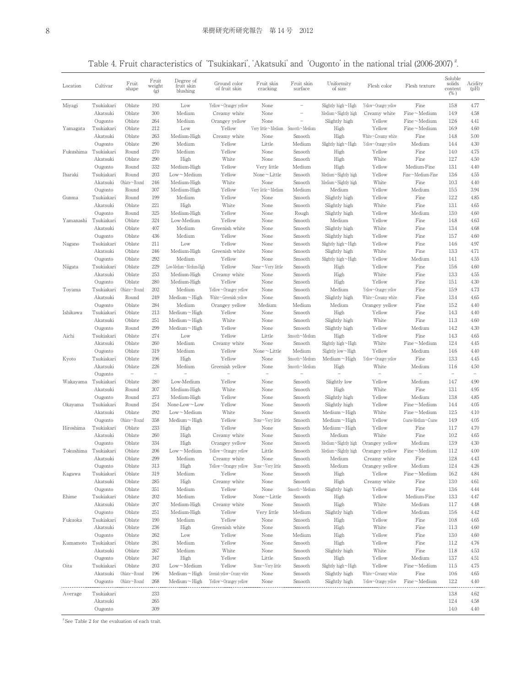Table 4. Fruit characteristics of 'Tsukiakari', 'Akatsuki' and 'Ougonto' in the national trial (2006-2007)<sup>2</sup>.

| Location  | Cultivar            | Fruit<br>shape           | Fruit<br>weight<br>(g)   | Degree of<br>fruit skin<br>blushing   | Ground color<br>of fruit skin | Fruit skin<br>cracking     | Fruit skin<br>surface    | Uniformity<br>of size                    | Flesh color           | Flesh texture                         | Soluble<br>solids<br>content<br>$(\%)$ | Acidity<br>(pH)   |
|-----------|---------------------|--------------------------|--------------------------|---------------------------------------|-------------------------------|----------------------------|--------------------------|------------------------------------------|-----------------------|---------------------------------------|----------------------------------------|-------------------|
| Miyagi    | Tsukiakari          | Oblate                   | 193                      | Low                                   | Yellow~Orangey yellow         | None                       |                          | Slightly high~High                       | Yellow~Orangey yellow | Fine                                  | 15.8                                   | 4.77              |
|           | Akatsuki            | Oblate                   | 300                      | Medium                                | Creamy white                  | None                       | $\overline{\phantom{0}}$ | Medium~Slightly high                     | Creamy white          | $Fine-Medium$                         | 14.9                                   | 4.58              |
|           | Ougonto             | Oblate                   | 264                      | Medium                                | Orangey yellow                | None                       |                          | Slightly high                            | Yellow                | $Fine-Medium$                         | 12.6                                   | 4.41              |
| Yamagata  | Tsukiakari          | Oblate                   | 212                      | Low                                   | Yellow                        | Very little~Medium         | Smooth~Medium            | High                                     | Yellow                | $Fine-Medium$                         | 16.9                                   | 4.60              |
|           | Akatsuki            | Oblate                   | 263                      | Medium-High                           | Creamy white                  | None                       | Smooth                   | High                                     | White~Creamy white    | Fine                                  | 14.8                                   | 5.00              |
|           | Ougonto             | Oblate                   | 290                      | Medium                                | Yellow                        | Little                     | Medium                   | Slightly high~High                       | Yellow~Orangey yellow | Medium                                | 14.4                                   | 4.30              |
| Fukushima | Tsukiakari          | Round                    | 270                      | Medium                                | Yellow                        | None                       | Smooth                   | High                                     | Yellow                | Fine                                  | 14.0                                   | 4.75              |
|           | Akatsuki            | Oblate                   | 290                      | High                                  | White                         | None                       | Smooth                   | High                                     | White                 | Fine                                  | 12.7                                   | 4.50              |
|           | Ougonto             | Round                    | 332                      | Medium-High                           | Yellow                        | Very little                | Medium                   | High                                     | Yellow                | Medium-Fine                           | 13.1                                   | 4.40              |
| Ibaraki   | Tsukiakari          | Round                    | 203                      | $Low-Medium$                          | Yellow                        | None~Little                | Smooth                   | Medium~Slightly high                     | Yellow                | Fine~Medium-Fine<br>Fine              | 13.6                                   | 4.55              |
|           | Akatsuki<br>Ougonto | Oblate∼Round             | 246<br>307               | Medium-High<br>Medium-High            | White                         | None<br>Very little~Medium | Smooth<br>Medium         | Medium~Slightly high<br>Medium           | White<br>Yellow       | Medium                                | 10.3<br>15.5                           | 4.40<br>3.94      |
| Gunma     | Tsukiakari          | Round<br>Round           | 199                      | Medium                                | Yellow<br>Yellow              | None                       | Smooth                   | Slightly high                            | Yellow                | Fine                                  | 12.2                                   | 4.85              |
|           | Akatsuki            | Oblate                   | 221                      | High                                  | White                         | None                       | Smooth                   | Slightly high                            | White                 | Fine                                  | 13.1                                   | 4.65              |
|           | Ougonto             | Round                    | 325                      | Medium-High                           | Yellow                        | None                       | Rough                    | Slightly high                            | Yellow                | Medium                                | 13.0                                   | 4.60              |
| Yamanashi | Tsukiakari          | Oblate                   | 324                      | Low-Medium                            | Yellow                        | None                       | Smooth                   | Medium                                   | Yellow                | Fine                                  | 14.8                                   | 4.63              |
|           | Akatsuki            | Oblate                   | 407                      | Medium                                | Greenish white                | None                       | Smooth                   | Slightly high                            | White                 | Fine                                  | 13.4                                   | 4.68              |
|           | Ougonto             | Oblate                   | 436                      | Medium                                | Yellow                        | None                       | Smooth                   | Slightly high                            | Yellow                | Fine                                  | 15.7                                   | 4.60              |
| Nagano    | Tsukiakari          | Oblate                   | 211                      | Low                                   | Yellow                        | None                       | Smooth                   | Slightly high $\sim$ High                | Yellow                | Fine                                  | 14.6                                   | 4.97              |
|           | Akatsuki            | Oblate                   | 246                      | Medium-High                           | Greenish white                | None                       | Smooth                   | Slightly high                            | White                 | Fine                                  | 13.3                                   | 4.71              |
|           | Ougonto             | Oblate                   | 292                      | Medium                                | Yellow                        | None                       | Smooth                   | Slightly high~High                       | Yellow                | Medium                                | 14.1                                   | 4.55              |
| Niigata   | Tsukiakari          | Oblate                   | 229                      | Low-Medium~Medium-High                | Yellow                        | None $\sim$ Very little    | Smooth                   | High                                     | Yellow                | Fine                                  | 15.6                                   | 4.60              |
|           | Akatsuki            | Oblate                   | 253                      | Medium-High                           | Creamy white                  | None                       | Smooth                   | High                                     | White                 | Fine                                  | 13.3                                   | 4.55              |
|           | Ougonto             | Oblate                   | 280                      | Medium-High                           | Yellow                        | None                       | Smooth                   | High                                     | Yellow                | Fine                                  | 15.1                                   | 4.30              |
| Toyama    | Tsukiakari          | Oblate~Round             | 202                      | Medium                                | Yellow~Orangey yellow         | None                       | Smooth                   | Medium                                   | Yellow~Orangey yellow | Fine                                  | 15.9                                   | 4.73              |
|           | Akatsuki            | Round                    | 249                      | $Median \sim$ High                    | White~Greenish yellow         | None                       | Smooth                   | Slightly high                            | White~Creamy white    | Fine                                  | 13.4                                   | 4.65              |
|           | Ougonto             | Oblate                   | 284                      | Medium                                | Orangey yellow                | Medium                     | Medium                   | Medium                                   | Orangey yellow        | Fine                                  | 15.2                                   | 4.40              |
| Ishikawa  | Tsukiakari          | Oblate                   | 213                      | $Median \sim$ High                    | Yellow                        | None                       | Smooth                   | High                                     | Yellow                | Fine                                  | 14.3                                   | 4.40              |
|           | Akatsuki            | Oblate                   | 251                      | $Median \sim$ High                    | White                         | None                       | Smooth                   | Slightly high                            | White                 | Fine                                  | 11.3                                   | 4.60              |
|           | Ougonto             | Round                    | 299                      | $Median \sim$ High                    | Yellow                        | None                       | Smooth                   | Slightly high                            | Yellow                | Medium                                | 14.2                                   | 4.30              |
| Aichi     | Tsukiakari          | Oblate                   | 274                      | Low                                   | Yellow                        | Little                     | Smooth~Medium            | High                                     | Yellow                | Fine                                  | 14.3                                   | 4.65              |
|           | Akatsuki            | Oblate                   | 260                      | Medium                                | Creamy white                  | None                       | Smooth                   | Slightly high $\sim$ High                | White                 | $Fine \sim Medium$                    | 12.4                                   | 4.45              |
|           | Ougonto             | Oblate                   | 319                      | Medium                                | Yellow                        | $None \sim$ Little         | Medium                   | Slightly low $\sim$ High                 | Yellow                | Medium                                | 14.6                                   | 4.40              |
| Kyoto     | Tsukiakari          | Oblate                   | 196                      | High                                  | Yellow                        | None                       | Smooth~Medium            | $Median \sim$ High                       | Yellow~Orangey yellow | Fine                                  | 13.3                                   | 4.45              |
|           | Akatsuki            | Oblate                   | 226                      | Medium                                | Greenish yellow               | None                       | Smooth~Medium            | High                                     | White                 | Medium                                | 11.6                                   | 4.50              |
|           | Ougonto             | $\overline{\phantom{0}}$ | $\overline{\phantom{a}}$ |                                       |                               | $\overline{\phantom{0}}$   |                          |                                          |                       |                                       | $\overline{\phantom{a}}$               | $\qquad \qquad -$ |
| Wakayama  | Tsukiakari          | Oblate                   | 280                      | Low-Medium                            | Yellow                        | None                       | Smooth                   | Slightly low                             | Yellow                | Medium                                | 14.7                                   | 4.90              |
|           | Akatsuki            | Round                    | 307                      | Medium-High                           | White                         | None                       | Smooth                   | High                                     | White                 | Fine                                  | 13.1                                   | 4.95              |
|           | Ougonto             | Round                    | 273                      | Medium-High                           | Yellow                        | None                       | Smooth                   | Slightly high                            | Yellow                | Medium                                | 13.8                                   | 4.85              |
| Okayama   | Tsukiakari          | Round                    | 254                      | None-Low $\sim$ Low                   | Yellow                        | None                       | Smooth                   | Slightly high                            | Yellow                | $Fine \sim Medium$                    | 14.4                                   | 4.05              |
|           | Akatsuki<br>Ougonto | Oblate<br>Oblate~Round   | 292<br>358               | $Low$ $M$ edium<br>$Median \sim$ High | White<br>Yellow               | None<br>None~Very little   | Smooth                   | $Median \sim$ High<br>$Median \sim$ High | White<br>Yellow       | $Fine-Medium$<br>Coarse-Medium~Coarse | 12.5<br>14.9                           | 4.10<br>4.05      |
| Hiroshima | Tsukiakari          | Oblate                   | 233                      | High                                  | Yellow                        | None                       | Smooth<br>Smooth         | $Median \sim$ High                       | Yellow                | Fine                                  | 11.7                                   | 4.70              |
|           | Akatsuki            | Oblate                   | 260                      | High                                  | Creamy white                  | None                       | Smooth                   | Medium                                   | White                 | Fine                                  | 10.2                                   | 4.65              |
|           | Ougonto             | Oblate                   | 334                      | High                                  | Orangey yellow                | None                       | Smooth                   | Medium~Slightly high                     | Orangey yellow        | Medium                                | 13.9                                   | 4.30              |
| Tokushima | Tsukiakari          | Oblate                   | 206                      | $Low-Medium$                          | Yellow~Orangey yellow         | Little                     | Smooth                   | Medium~Slightly high                     | Orangey yellow        | $Fine-Medium$                         | 11.2                                   | 4.00              |
|           | Akatsuki            | Oblate                   | 299                      | Medium                                | Creamy white                  | None                       | Smooth                   | Medium                                   | Creamy white          | Fine                                  | 12.8                                   | 4.43              |
|           | Ougonto             | Oblate                   | 313                      | High                                  | Yellow~Orangey yellow         | None~Very little           | Smooth                   | Medium                                   | Orangey yellow        | Medium                                | 12.4                                   | 4.26              |
| Kagawa    | Tsukiakari          | Oblate                   | 319                      | Medium                                | Yellow                        | None                       | Smooth                   | High                                     | Yellow                | $Fine-Medium$                         | 16.2                                   | 4.84              |
|           | Akatsuki            | Oblate                   | 285                      | High                                  | Creamy white                  | None                       | Smooth                   | High                                     | Creamy white          | Fine                                  | 13.0                                   | 4.61              |
|           | Ougonto             | Oblate                   | 351                      | Medium                                | Yellow                        | None                       | Smooth~Medium            | Slightly high                            | Yellow                | Fine                                  | 13.6                                   | 4.44              |
| Ehime     | Tsukiakari          | Oblate                   | 202                      | Medium                                | Yellow                        | None~Little                | Smooth                   | High                                     | Yellow                | Medium-Fine                           | 13.3                                   | 4.47              |
|           | Akatsuki            | Oblate                   | 207                      | Medium-High                           | Creamy white                  | None                       | Smooth                   | High                                     | White                 | Medium                                | 11.7                                   | 4.48              |
|           | Ougonto             | Oblate                   | 251                      | Medium-High                           | Yellow                        | Very little                | Medium                   | Slightly high                            | Yellow                | Medium                                | 15.6                                   | 4.42              |
| Fukuoka   | Tsukiakari          | Oblate                   | 190                      | Medium                                | Yellow                        | None                       | Smooth                   | High                                     | Yellow                | Fine                                  | 10.8                                   | 4.65              |
|           | Akatsuki            | Oblate                   | 236                      | High                                  | Greenish white                | None                       | Smooth                   | High                                     | White                 | Fine                                  | 11.3                                   | 4.60              |
|           | Ougonto             | Oblate                   | 262                      | Low                                   | Yellow                        | None                       | Medium                   | High                                     | Yellow                | Fine                                  | 13.0                                   | 4.60              |
| Kumamoto  | Tsukiakari          | Oblate                   | 281                      | Medium                                | Yellow                        | None                       | Smooth                   | High                                     | Yellow                | Fine                                  | 11.2                                   | 4.76              |
|           | Akatsuki            | Oblate                   | 267                      | Medium                                | White                         | None                       | Smooth                   | Slightly high                            | White                 | Fine                                  | 11.8                                   | 4.53              |
|           | Ougonto             | Oblate                   | 347                      | High                                  | Yellow                        | Little                     | Smooth                   | High                                     | Yellow                | Medium                                | 13.7                                   | 4.51              |
| Oita      | Tsukiakari          | Oblate                   | 203                      | $Low$ $M$ edium                       | Yellow                        | None~Very little           | Smooth                   | Slightly high~High                       | Yellow                | $Fine-Medium$                         | 11.5                                   | 4.75              |
|           | Akatsuki            | Oblate~Round             | 196                      | $Median \sim$ High                    | Greenish yellow~Creamy white  | None                       | Smooth                   | Slightly high                            | White~Creamy white    | Fine                                  | 10.6                                   | 4.65              |
|           | Ougonto             | Oblate $\neg$ Round      | 268                      | $Median \sim$ High                    | Yellow~Orangey yellow         | None                       | Smooth                   | Slightly high                            | Yellow~Orangey yellow | $Fine \sim Medium$                    | 12.2                                   | 4.40              |
| Average   | Tsukiakari          |                          | 233                      |                                       |                               |                            |                          |                                          |                       |                                       | 13.8                                   | 4.62              |
|           | Akatsuki            |                          | 265                      |                                       |                               |                            |                          |                                          |                       |                                       | 12.4                                   | 4.58              |
|           | Ougonto             |                          | 309                      |                                       |                               |                            |                          |                                          |                       |                                       | 14.0                                   | 4.40              |
|           |                     |                          |                          |                                       |                               |                            |                          |                                          |                       |                                       |                                        |                   |

 $z$  See Table 2 for the evaluation of each trait.